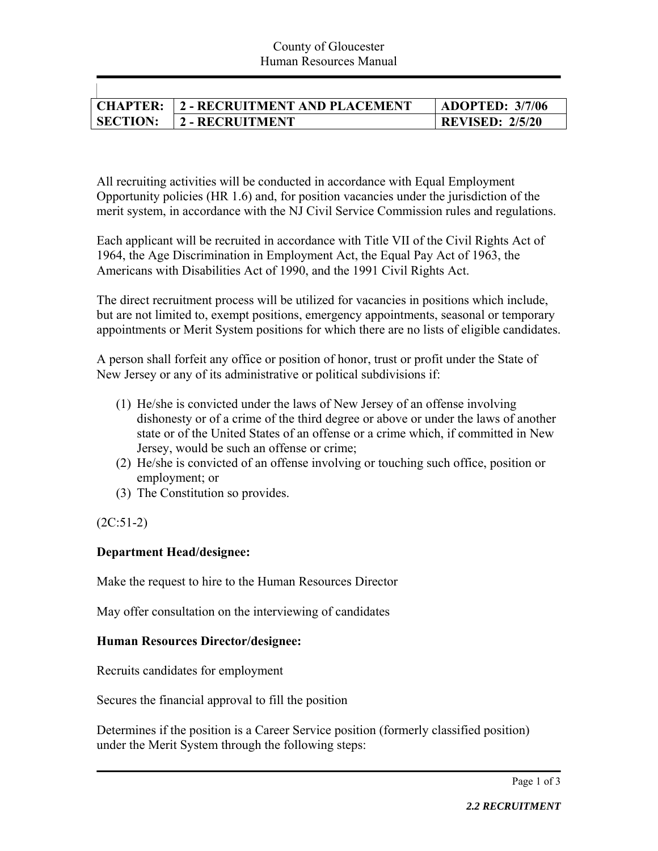|                 | CHAPTER: 2 - RECRUITMENT AND PLACEMENT | <b>ADOPTED: 3/7/06</b> |
|-----------------|----------------------------------------|------------------------|
| <b>SECTION:</b> | 2 - RECRUITMENT                        | <b>REVISED: 2/5/20</b> |

All recruiting activities will be conducted in accordance with Equal Employment Opportunity policies (HR 1.6) and, for position vacancies under the jurisdiction of the merit system, in accordance with the NJ Civil Service Commission rules and regulations.

Each applicant will be recruited in accordance with Title VII of the Civil Rights Act of 1964, the Age Discrimination in Employment Act, the Equal Pay Act of 1963, the Americans with Disabilities Act of 1990, and the 1991 Civil Rights Act.

The direct recruitment process will be utilized for vacancies in positions which include, but are not limited to, exempt positions, emergency appointments, seasonal or temporary appointments or Merit System positions for which there are no lists of eligible candidates.

A person shall forfeit any office or position of honor, trust or profit under the State of New Jersey or any of its administrative or political subdivisions if:

- (1) He/she is convicted under the laws of New Jersey of an offense involving dishonesty or of a crime of the third degree or above or under the laws of another state or of the United States of an offense or a crime which, if committed in New Jersey, would be such an offense or crime;
- (2) He/she is convicted of an offense involving or touching such office, position or employment; or
- (3) The Constitution so provides.

 $(2C:51-2)$ 

## **Department Head/designee:**

Make the request to hire to the Human Resources Director

May offer consultation on the interviewing of candidates

## **Human Resources Director/designee:**

Recruits candidates for employment

Secures the financial approval to fill the position

Determines if the position is a Career Service position (formerly classified position) under the Merit System through the following steps: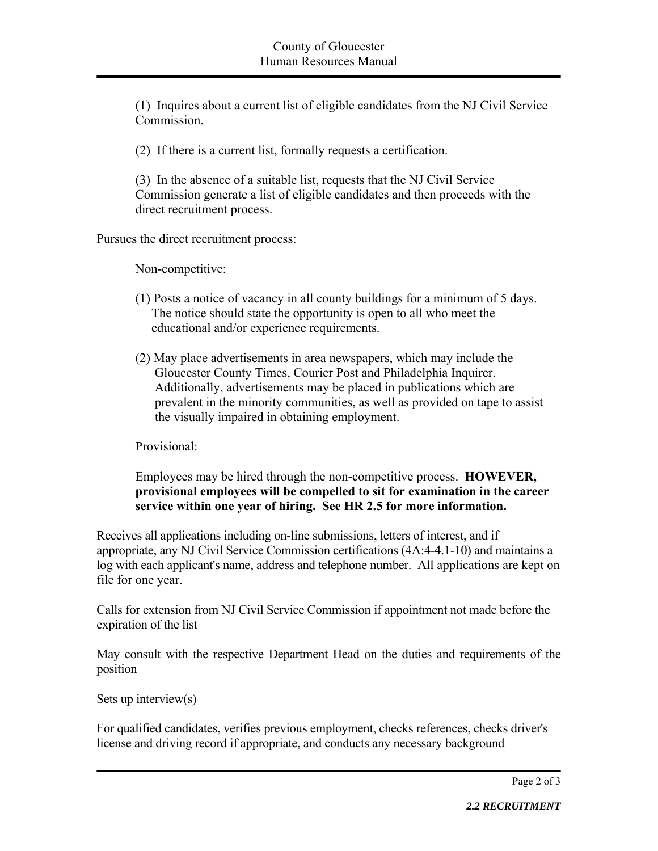(1) Inquires about a current list of eligible candidates from the NJ Civil Service Commission.

(2) If there is a current list, formally requests a certification.

(3) In the absence of a suitable list, requests that the NJ Civil Service Commission generate a list of eligible candidates and then proceeds with the direct recruitment process.

Pursues the direct recruitment process:

Non-competitive:

- (1) Posts a notice of vacancy in all county buildings for a minimum of 5 days. The notice should state the opportunity is open to all who meet the educational and/or experience requirements.
- (2) May place advertisements in area newspapers, which may include the Gloucester County Times, Courier Post and Philadelphia Inquirer. Additionally, advertisements may be placed in publications which are prevalent in the minority communities, as well as provided on tape to assist the visually impaired in obtaining employment.

Provisional:

## Employees may be hired through the non-competitive process. **HOWEVER, provisional employees will be compelled to sit for examination in the career service within one year of hiring. See HR 2.5 for more information.**

Receives all applications including on-line submissions, letters of interest, and if appropriate, any NJ Civil Service Commission certifications (4A:4-4.1-10) and maintains a log with each applicant's name, address and telephone number. All applications are kept on file for one year.

Calls for extension from NJ Civil Service Commission if appointment not made before the expiration of the list

May consult with the respective Department Head on the duties and requirements of the position

```
Sets up interview(s)
```
For qualified candidates, verifies previous employment, checks references, checks driver's license and driving record if appropriate, and conducts any necessary background